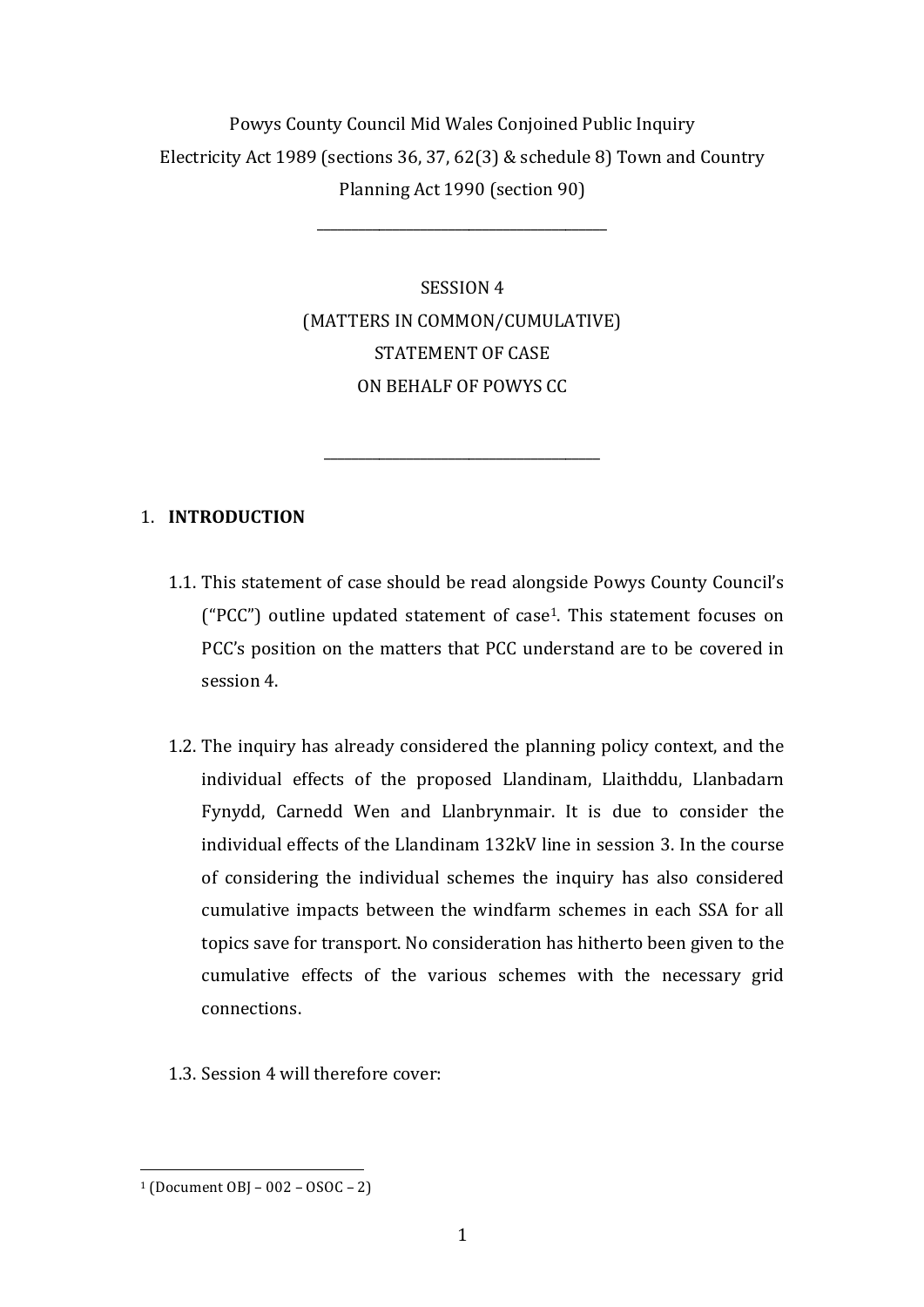# Powys County Council Mid Wales Conjoined Public Inquiry Electricity Act 1989 (sections 36, 37, 62(3) & schedule 8) Town and Country Planning Act 1990 (section 90)

\_\_\_\_\_\_\_\_\_\_\_\_\_\_\_\_\_\_\_\_\_\_\_\_\_\_\_\_\_\_\_\_\_\_\_\_\_\_\_\_\_\_

SESSION 4 (MATTERS IN COMMON/CUMULATIVE) STATEMENT OF CASE ON BEHALF OF POWYS CC

\_\_\_\_\_\_\_\_\_\_\_\_\_\_\_\_\_\_\_\_\_\_\_\_\_\_\_\_\_\_\_\_\_\_\_\_\_\_\_\_

# 1. **INTRODUCTION**

- 1.1. This statement of case should be read alongside Powys County Council's ("PCC") outline updated statement of case<sup>1</sup>. This statement focuses on PCC's position on the matters that PCC understand are to be covered in session 4
- 1.2. The inquiry has already considered the planning policy context, and the individual effects of the proposed Llandinam, Llaithddu, Llanbadarn Fynydd, Carnedd Wen and Llanbrynmair. It is due to consider the individual effects of the Llandinam 132kV line in session 3. In the course of considering the individual schemes the inquiry has also considered cumulative impacts between the windfarm schemes in each SSA for all topics save for transport. No consideration has hitherto been given to the cumulative effects of the various schemes with the necessary grid connections.
- 1.3. Session 4 will therefore cover:

  $1 (Document OB - 002 - 0SOC - 2)$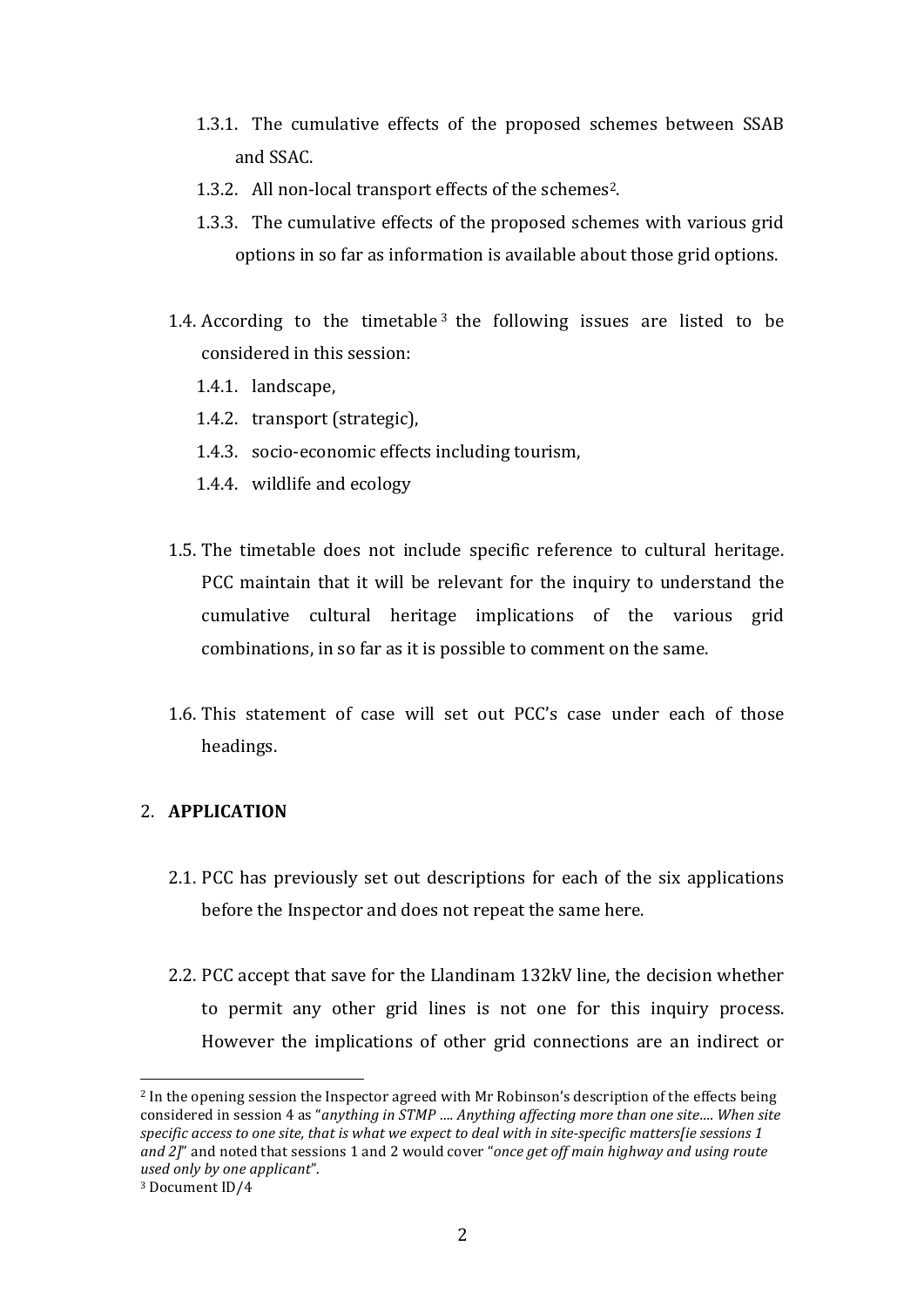- 1.3.1. The cumulative effects of the proposed schemes between SSAB and SSAC.
- 1.3.2. All non-local transport effects of the schemes<sup>2</sup>.
- 1.3.3. The cumulative effects of the proposed schemes with various grid options in so far as information is available about those grid options.
- 1.4. According to the timetable<sup>3</sup> the following issues are listed to be considered in this session:
	- 1.4.1. landscape,
	- 1.4.2. transport (strategic),
	- 1.4.3. socio-economic effects including tourism,
	- 1.4.4. wildlife and ecology
- 1.5. The timetable does not include specific reference to cultural heritage. PCC maintain that it will be relevant for the inquiry to understand the cumulative cultural heritage implications of the various grid combinations, in so far as it is possible to comment on the same.
- 1.6. This statement of case will set out PCC's case under each of those headings.

# 2. **APPLICATION**

- 2.1. PCC has previously set out descriptions for each of the six applications before the Inspector and does not repeat the same here.
- 2.2. PCC accept that save for the Llandinam 132kV line, the decision whether to permit any other grid lines is not one for this inquiry process. However the implications of other grid connections are an indirect or

 

 $2$  In the opening session the Inspector agreed with Mr Robinson's description of the effects being considered in session 4 as "anything in STMP .... Anything affecting more than one site.... When site specific access to one site, that is what we expect to deal with in site-specific matters[ie sessions 1 *and* 2]" and noted that sessions 1 and 2 would cover "*once get off main highway and using route used only by one applicant*".

<sup>&</sup>lt;sup>3</sup> Document ID/4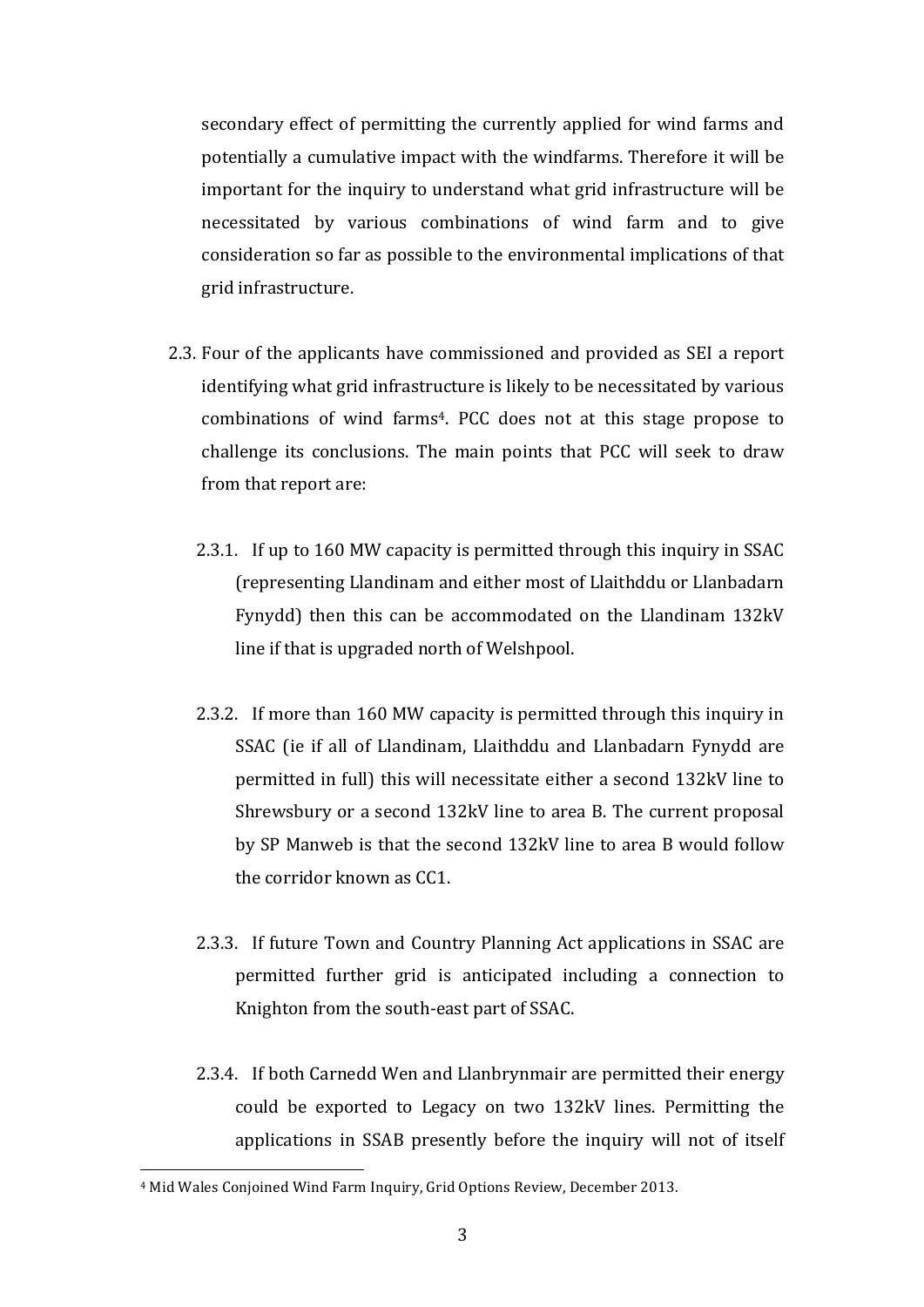secondary effect of permitting the currently applied for wind farms and potentially a cumulative impact with the windfarms. Therefore it will be important for the inquiry to understand what grid infrastructure will be necessitated by various combinations of wind farm and to give consideration so far as possible to the environmental implications of that grid infrastructure.

- 2.3. Four of the applicants have commissioned and provided as SEI a report identifying what grid infrastructure is likely to be necessitated by various combinations of wind farms<sup>4</sup>. PCC does not at this stage propose to challenge its conclusions. The main points that PCC will seek to draw from that report are:
	- 2.3.1. If up to 160 MW capacity is permitted through this inquiry in SSAC (representing Llandinam and either most of Llaithddu or Llanbadarn Fynydd) then this can be accommodated on the Llandinam 132kV line if that is upgraded north of Welshpool.
	- 2.3.2. If more than 160 MW capacity is permitted through this inquiry in SSAC (ie if all of Llandinam, Llaithddu and Llanbadarn Fynydd are permitted in full) this will necessitate either a second 132kV line to Shrewsbury or a second 132kV line to area B. The current proposal by SP Manweb is that the second 132kV line to area B would follow the corridor known as CC1.
	- 2.3.3. If future Town and Country Planning Act applications in SSAC are permitted further grid is anticipated including a connection to Knighton from the south-east part of SSAC.
	- 2.3.4. If both Carnedd Wen and Llanbrynmair are permitted their energy could be exported to Legacy on two 132kV lines. Permitting the applications in SSAB presently before the inquiry will not of itself

 

<sup>&</sup>lt;sup>4</sup> Mid Wales Conjoined Wind Farm Inquiry, Grid Options Review, December 2013.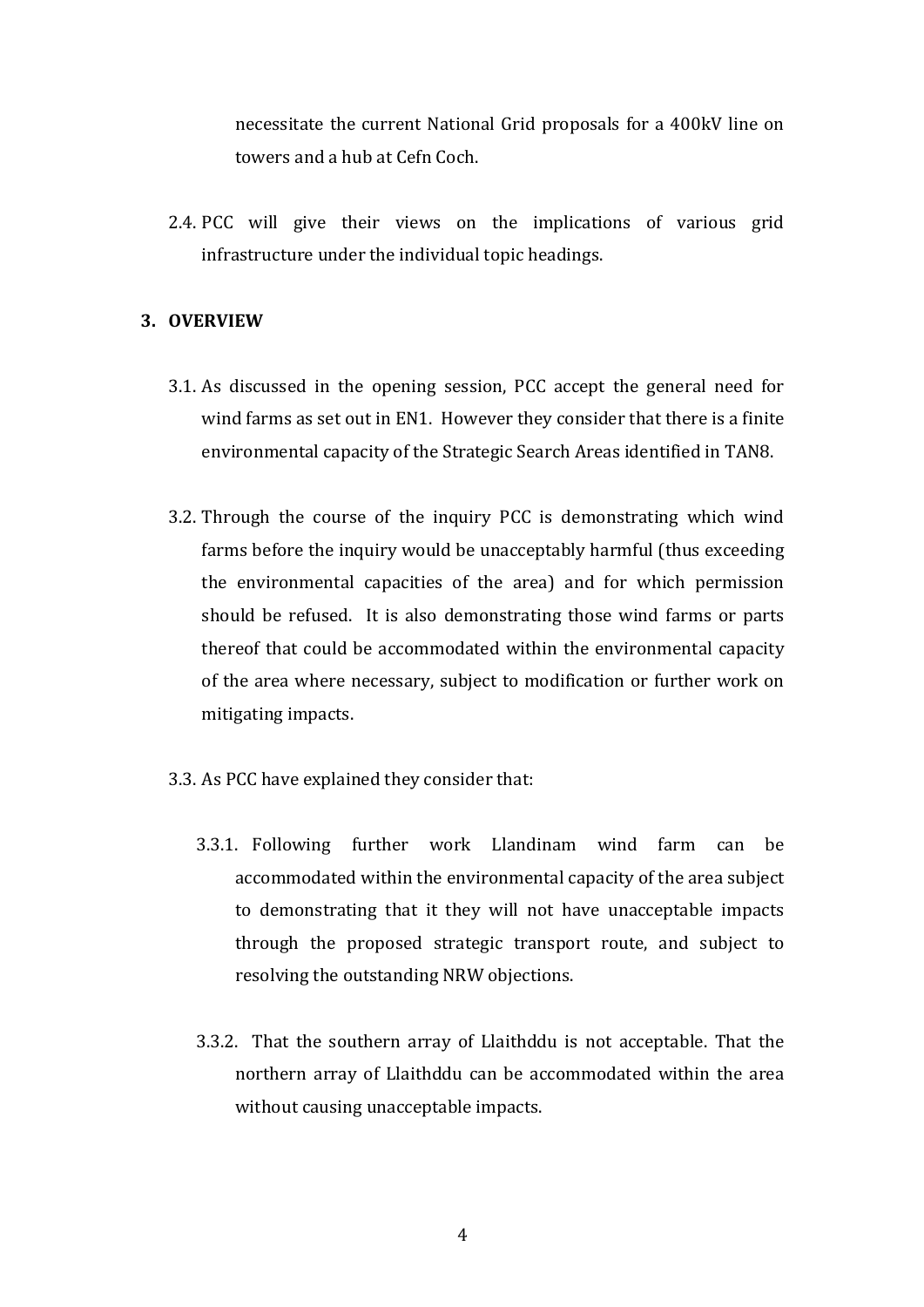necessitate the current National Grid proposals for a 400kV line on towers and a hub at Cefn Coch.

2.4. PCC will give their views on the implications of various grid infrastructure under the individual topic headings.

# **3. OVERVIEW**

- 3.1. As discussed in the opening session, PCC accept the general need for wind farms as set out in EN1. However they consider that there is a finite environmental capacity of the Strategic Search Areas identified in TAN8.
- 3.2. Through the course of the inquiry PCC is demonstrating which wind farms before the inquiry would be unacceptably harmful (thus exceeding the environmental capacities of the area) and for which permission should be refused. It is also demonstrating those wind farms or parts thereof that could be accommodated within the environmental capacity of the area where necessary, subject to modification or further work on mitigating impacts.
- 3.3. As PCC have explained they consider that:
	- 3.3.1. Following further work Llandinam wind farm can be accommodated within the environmental capacity of the area subject to demonstrating that it they will not have unacceptable impacts through the proposed strategic transport route, and subject to resolving the outstanding NRW objections.
	- 3.3.2. That the southern array of Llaithddu is not acceptable. That the northern array of Llaithddu can be accommodated within the area without causing unacceptable impacts.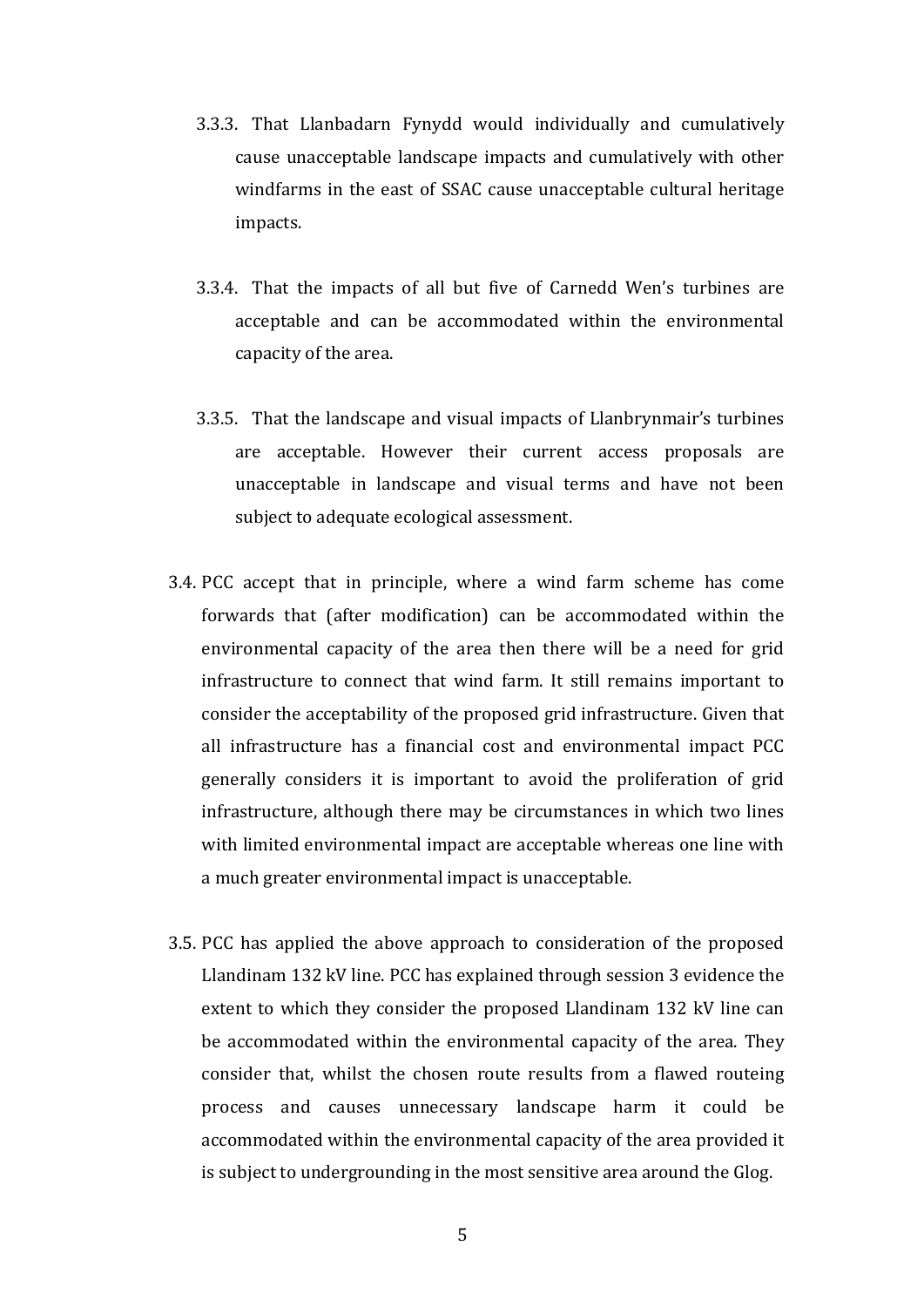- 3.3.3. That Llanbadarn Fynydd would individually and cumulatively cause unacceptable landscape impacts and cumulatively with other windfarms in the east of SSAC cause unacceptable cultural heritage impacts.
- 3.3.4. That the impacts of all but five of Carnedd Wen's turbines are acceptable and can be accommodated within the environmental capacity of the area.
- 3.3.5. That the landscape and visual impacts of Llanbrynmair's turbines are acceptable. However their current access proposals are unacceptable in landscape and visual terms and have not been subject to adequate ecological assessment.
- 3.4. PCC accept that in principle, where a wind farm scheme has come forwards that (after modification) can be accommodated within the environmental capacity of the area then there will be a need for grid infrastructure to connect that wind farm. It still remains important to consider the acceptability of the proposed grid infrastructure. Given that all infrastructure has a financial cost and environmental impact PCC generally considers it is important to avoid the proliferation of grid infrastructure, although there may be circumstances in which two lines with limited environmental impact are acceptable whereas one line with a much greater environmental impact is unacceptable.
- 3.5. PCC has applied the above approach to consideration of the proposed Llandinam 132 kV line. PCC has explained through session 3 evidence the extent to which they consider the proposed Llandinam 132 kV line can be accommodated within the environmental capacity of the area. They consider that, whilst the chosen route results from a flawed routeing process and causes unnecessary landscape harm it could be accommodated within the environmental capacity of the area provided it is subject to undergrounding in the most sensitive area around the Glog.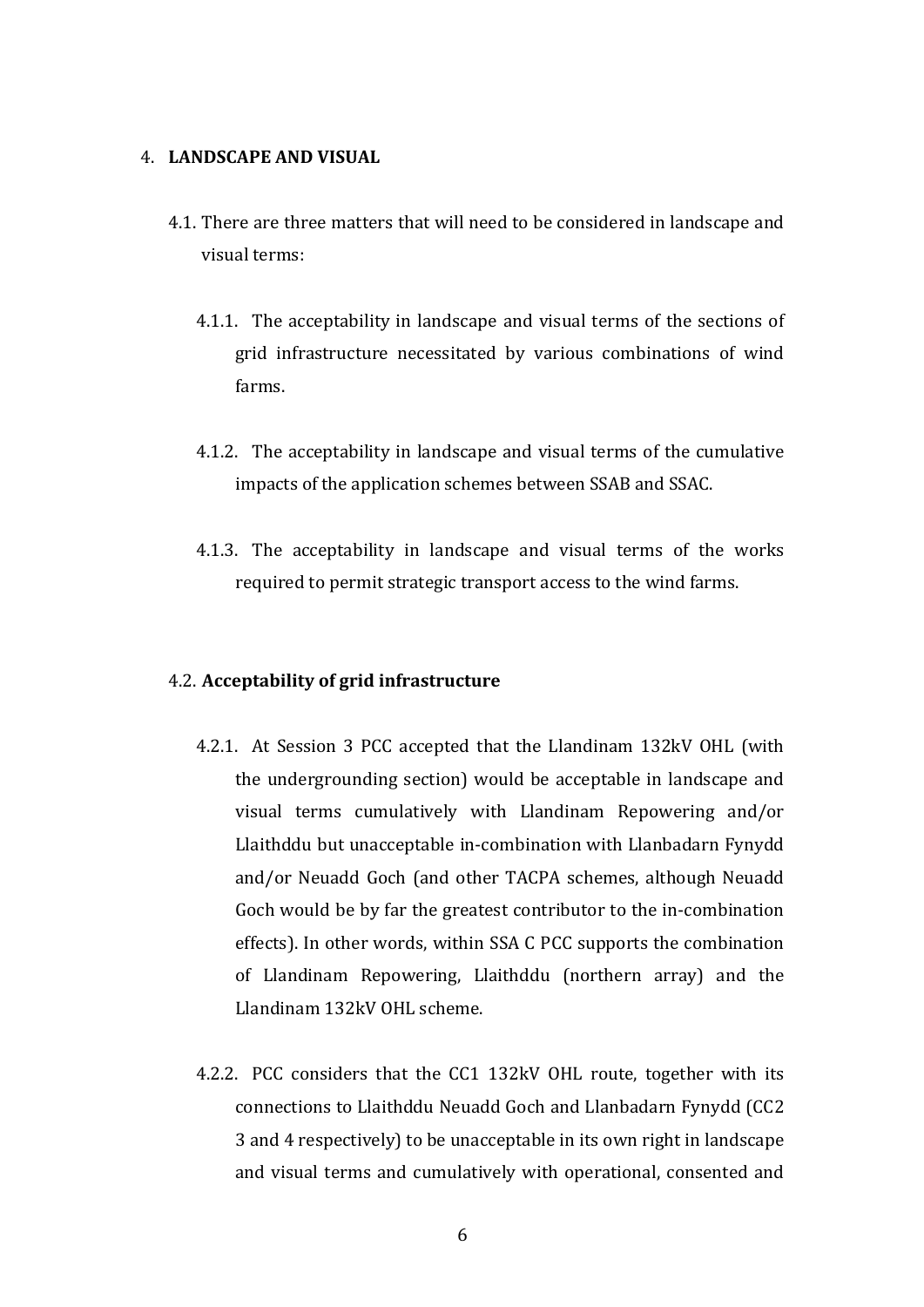# **4. LANDSCAPE AND VISUAL**

- 4.1. There are three matters that will need to be considered in landscape and visual terms:
	- 4.1.1. The acceptability in landscape and visual terms of the sections of grid infrastructure necessitated by various combinations of wind farms.
	- 4.1.2. The acceptability in landscape and visual terms of the cumulative impacts of the application schemes between SSAB and SSAC.
	- 4.1.3. The acceptability in landscape and visual terms of the works required to permit strategic transport access to the wind farms.

#### 4.2. **Acceptability of grid infrastructure**

- 4.2.1. At Session 3 PCC accepted that the Llandinam 132kV OHL (with the undergrounding section) would be acceptable in landscape and visual terms cumulatively with Llandinam Repowering and/or Llaithddu but unacceptable in-combination with Llanbadarn Fynydd and/or Neuadd Goch (and other TACPA schemes, although Neuadd Goch would be by far the greatest contributor to the in-combination effects). In other words, within SSA C PCC supports the combination of Llandinam Repowering, Llaithddu (northern array) and the Llandinam 132kV OHL scheme.
- 4.2.2. PCC considers that the CC1 132kV OHL route, together with its connections to Llaithddu Neuadd Goch and Llanbadarn Fynydd (CC2 3 and 4 respectively) to be unacceptable in its own right in landscape and visual terms and cumulatively with operational, consented and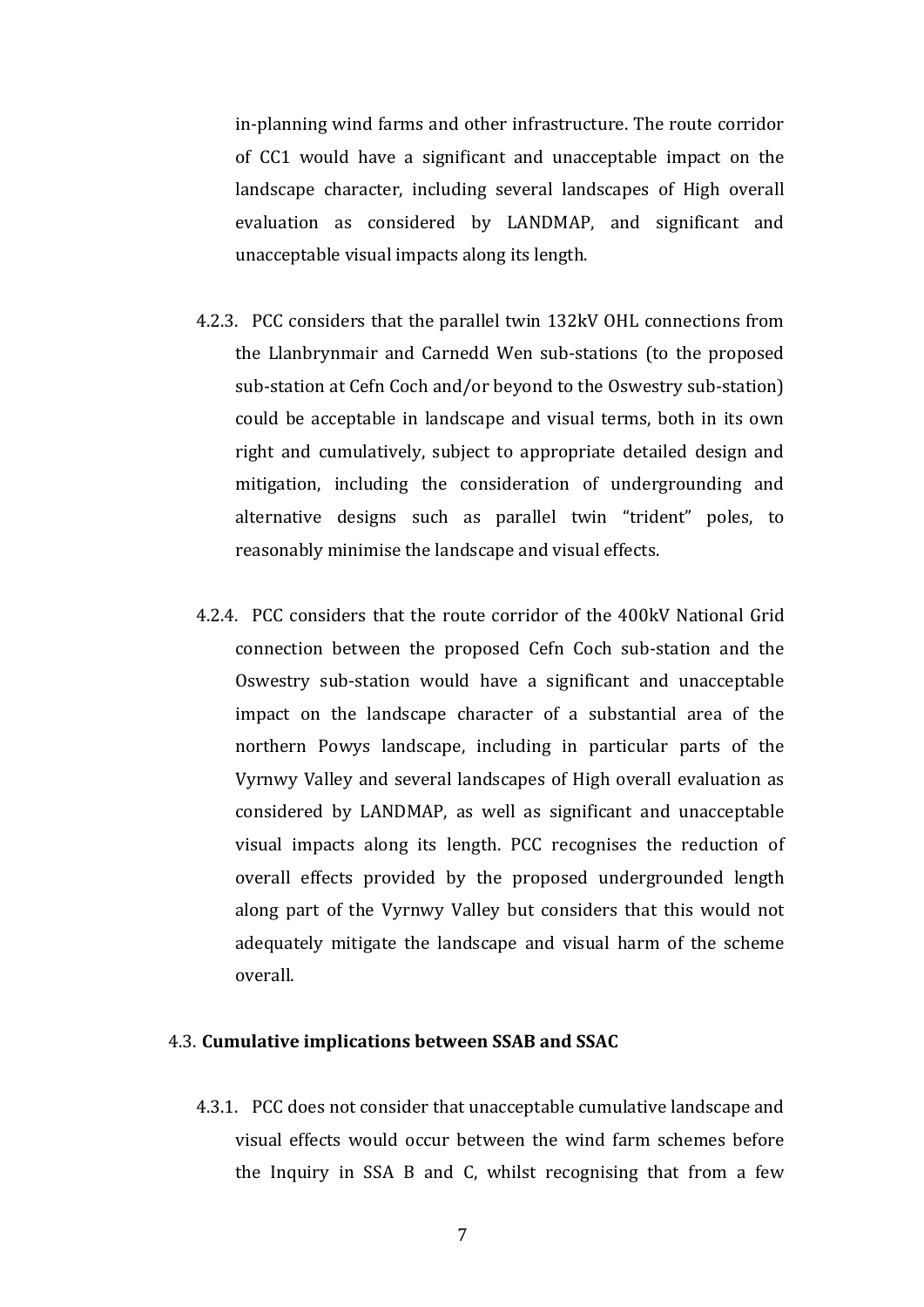in-planning wind farms and other infrastructure. The route corridor of CC1 would have a significant and unacceptable impact on the landscape character, including several landscapes of High overall evaluation as considered by LANDMAP, and significant and unacceptable visual impacts along its length.

- 4.2.3. PCC considers that the parallel twin 132kV OHL connections from the Llanbrynmair and Carnedd Wen sub-stations (to the proposed sub-station at Cefn Coch and/or beyond to the Oswestry sub-station) could be acceptable in landscape and visual terms, both in its own right and cumulatively, subject to appropriate detailed design and mitigation, including the consideration of undergrounding and alternative designs such as parallel twin "trident" poles, to reasonably minimise the landscape and visual effects.
- 4.2.4. PCC considers that the route corridor of the 400kV National Grid connection between the proposed Cefn Coch sub-station and the Oswestry sub-station would have a significant and unacceptable impact on the landscape character of a substantial area of the northern Powys landscape, including in particular parts of the Vyrnwy Valley and several landscapes of High overall evaluation as considered by LANDMAP, as well as significant and unacceptable visual impacts along its length. PCC recognises the reduction of overall effects provided by the proposed undergrounded length along part of the Vyrnwy Valley but considers that this would not adequately mitigate the landscape and visual harm of the scheme overall.

#### 4.3. Cumulative implications between SSAB and SSAC

4.3.1. PCC does not consider that unacceptable cumulative landscape and visual effects would occur between the wind farm schemes before the Inquiry in SSA B and C, whilst recognising that from a few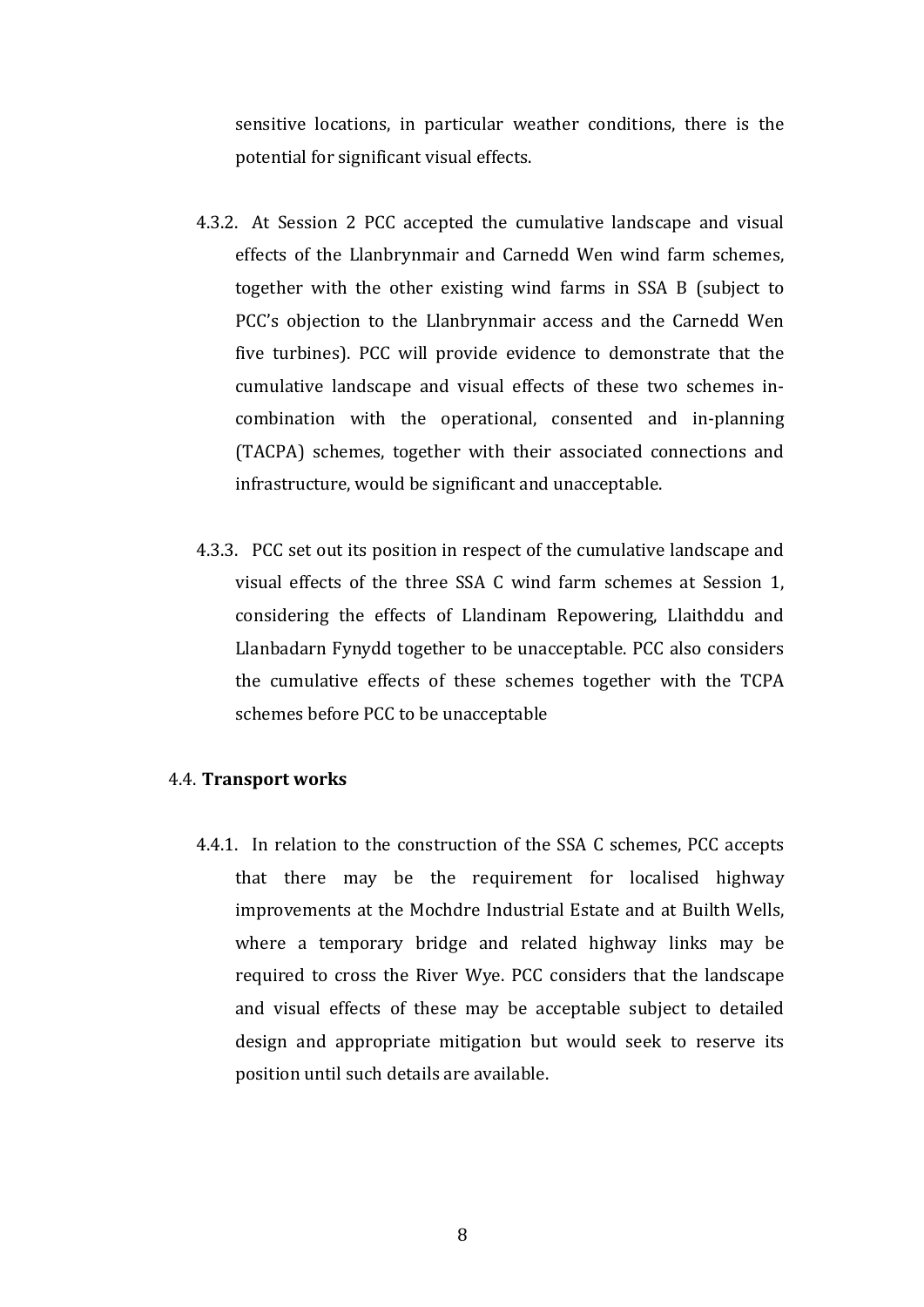sensitive locations, in particular weather conditions, there is the potential for significant visual effects.

- 4.3.2. At Session 2 PCC accepted the cumulative landscape and visual effects of the Llanbrynmair and Carnedd Wen wind farm schemes, together with the other existing wind farms in SSA B (subject to PCC's objection to the Llanbrynmair access and the Carnedd Wen five turbines). PCC will provide evidence to demonstrate that the cumulative landscape and visual effects of these two schemes incombination with the operational, consented and in-planning (TACPA) schemes, together with their associated connections and infrastructure, would be significant and unacceptable.
- 4.3.3. PCC set out its position in respect of the cumulative landscape and visual effects of the three SSA C wind farm schemes at Session 1, considering the effects of Llandinam Repowering, Llaithddu and Llanbadarn Fynydd together to be unacceptable. PCC also considers the cumulative effects of these schemes together with the TCPA schemes before PCC to be unacceptable

# **4.4. Transport works**

4.4.1. In relation to the construction of the SSA C schemes, PCC accepts that there may be the requirement for localised highway improvements at the Mochdre Industrial Estate and at Builth Wells, where a temporary bridge and related highway links may be required to cross the River Wye. PCC considers that the landscape and visual effects of these may be acceptable subject to detailed design and appropriate mitigation but would seek to reserve its position until such details are available.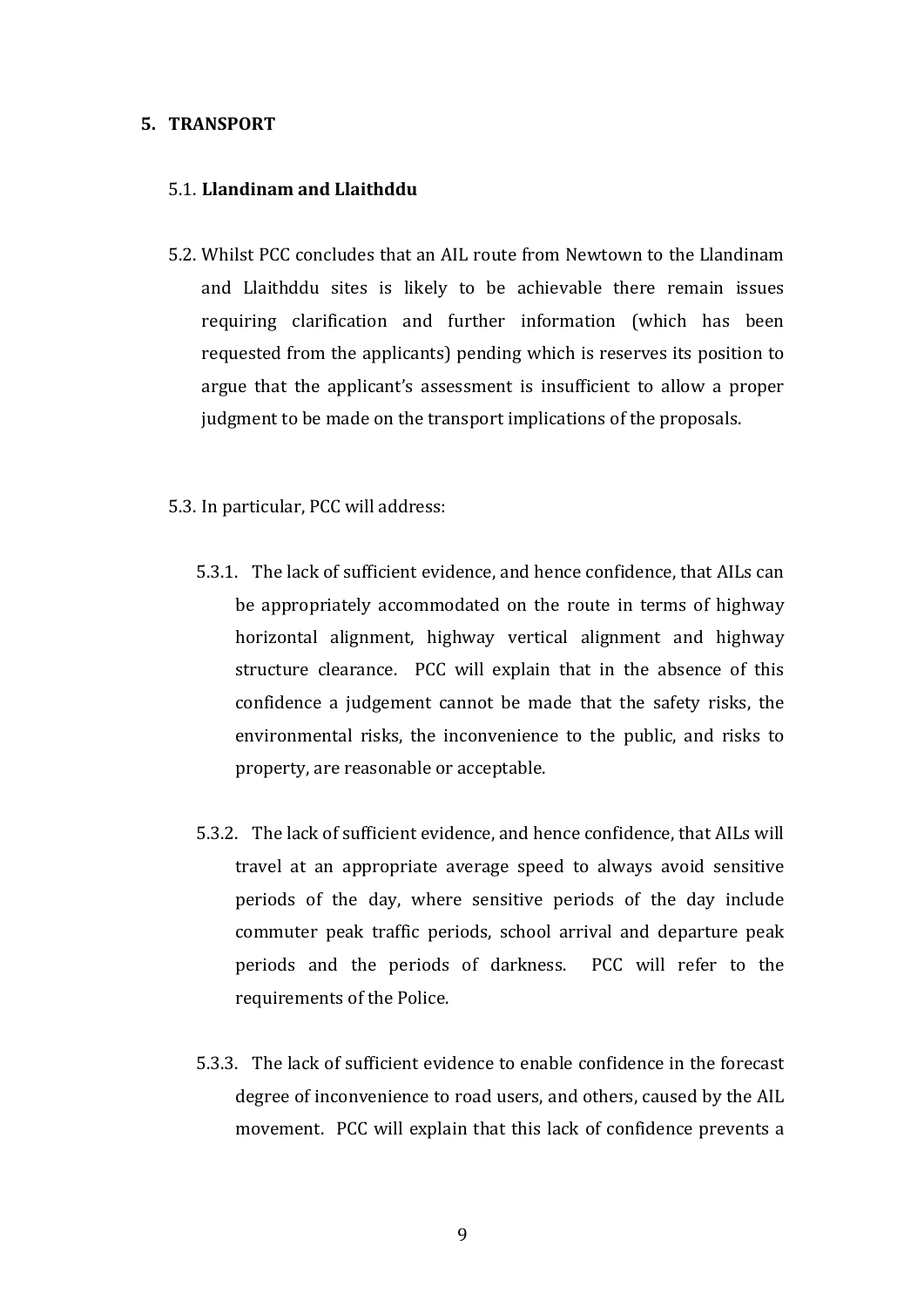#### **5. TRANSPORT**

# 5.1. **Llandinam and Llaithddu**

- 5.2. Whilst PCC concludes that an AIL route from Newtown to the Llandinam and Llaithddu sites is likely to be achievable there remain issues requiring clarification and further information (which has been requested from the applicants) pending which is reserves its position to argue that the applicant's assessment is insufficient to allow a proper judgment to be made on the transport implications of the proposals.
- 5.3. In particular, PCC will address:
	- 5.3.1. The lack of sufficient evidence, and hence confidence, that AILs can be appropriately accommodated on the route in terms of highway horizontal alignment, highway vertical alignment and highway structure clearance. PCC will explain that in the absence of this confidence a judgement cannot be made that the safety risks, the environmental risks, the inconvenience to the public, and risks to property, are reasonable or acceptable.
	- 5.3.2. The lack of sufficient evidence, and hence confidence, that AILs will travel at an appropriate average speed to always avoid sensitive periods of the day, where sensitive periods of the day include commuter peak traffic periods, school arrival and departure peak periods and the periods of darkness. PCC will refer to the requirements of the Police.
	- 5.3.3. The lack of sufficient evidence to enable confidence in the forecast degree of inconvenience to road users, and others, caused by the AIL movement. PCC will explain that this lack of confidence prevents a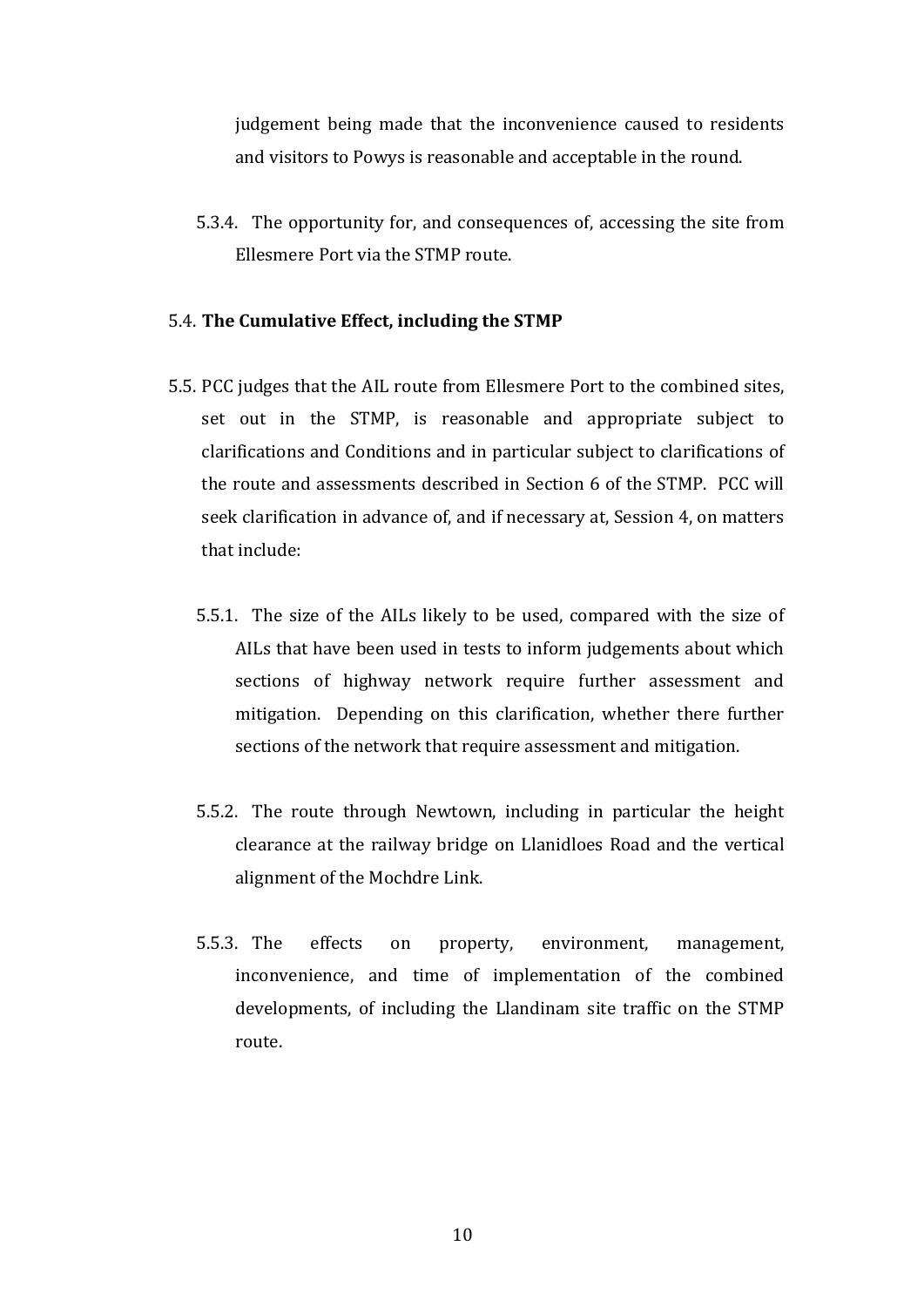judgement being made that the inconvenience caused to residents and visitors to Powys is reasonable and acceptable in the round.

5.3.4. The opportunity for, and consequences of, accessing the site from Ellesmere Port via the STMP route.

## 5.4. The Cumulative Effect, including the STMP

- 5.5. PCC judges that the AIL route from Ellesmere Port to the combined sites, set out in the STMP, is reasonable and appropriate subject to clarifications and Conditions and in particular subject to clarifications of the route and assessments described in Section 6 of the STMP. PCC will seek clarification in advance of, and if necessary at, Session 4, on matters that include:
	- 5.5.1. The size of the AILs likely to be used, compared with the size of AILs that have been used in tests to inform judgements about which sections of highway network require further assessment and mitigation. Depending on this clarification, whether there further sections of the network that require assessment and mitigation.
	- 5.5.2. The route through Newtown, including in particular the height clearance at the railway bridge on Llanidloes Road and the vertical alignment of the Mochdre Link.
	- 5.5.3. The effects on property, environment, management, inconvenience, and time of implementation of the combined developments, of including the Llandinam site traffic on the STMP route.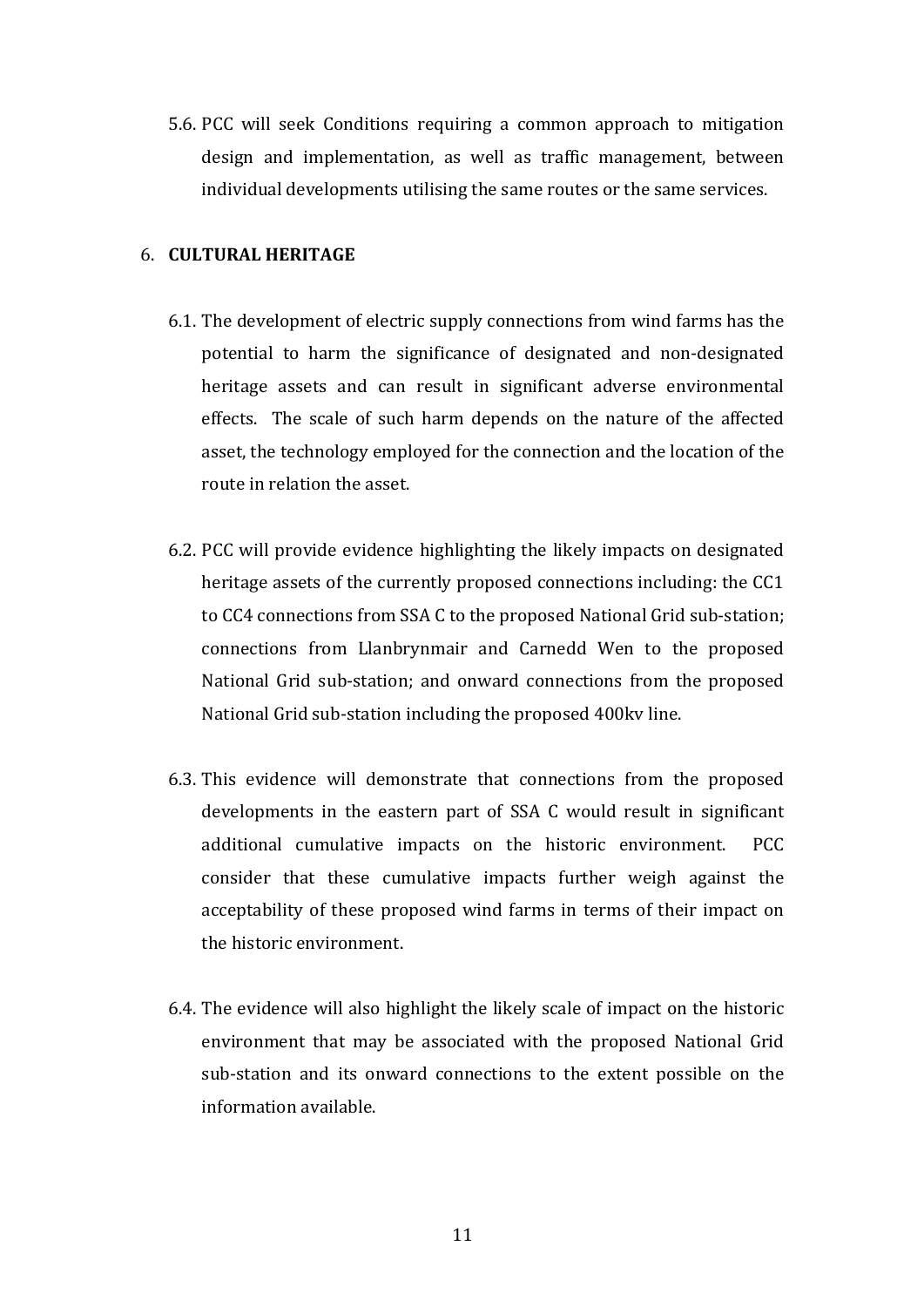5.6. PCC will seek Conditions requiring a common approach to mitigation design and implementation, as well as traffic management, between individual developments utilising the same routes or the same services.

# 6. **CULTURAL HERITAGE**

- 6.1. The development of electric supply connections from wind farms has the potential to harm the significance of designated and non-designated heritage assets and can result in significant adverse environmental effects. The scale of such harm depends on the nature of the affected asset, the technology employed for the connection and the location of the route in relation the asset.
- 6.2. PCC will provide evidence highlighting the likely impacts on designated heritage assets of the currently proposed connections including: the CC1 to CC4 connections from SSA C to the proposed National Grid sub-station; connections from Llanbrynmair and Carnedd Wen to the proposed National Grid sub-station; and onward connections from the proposed National Grid sub-station including the proposed 400kv line.
- 6.3. This evidence will demonstrate that connections from the proposed developments in the eastern part of SSA C would result in significant additional cumulative impacts on the historic environment. PCC consider that these cumulative impacts further weigh against the acceptability of these proposed wind farms in terms of their impact on the historic environment.
- 6.4. The evidence will also highlight the likely scale of impact on the historic environment that may be associated with the proposed National Grid sub-station and its onward connections to the extent possible on the information available.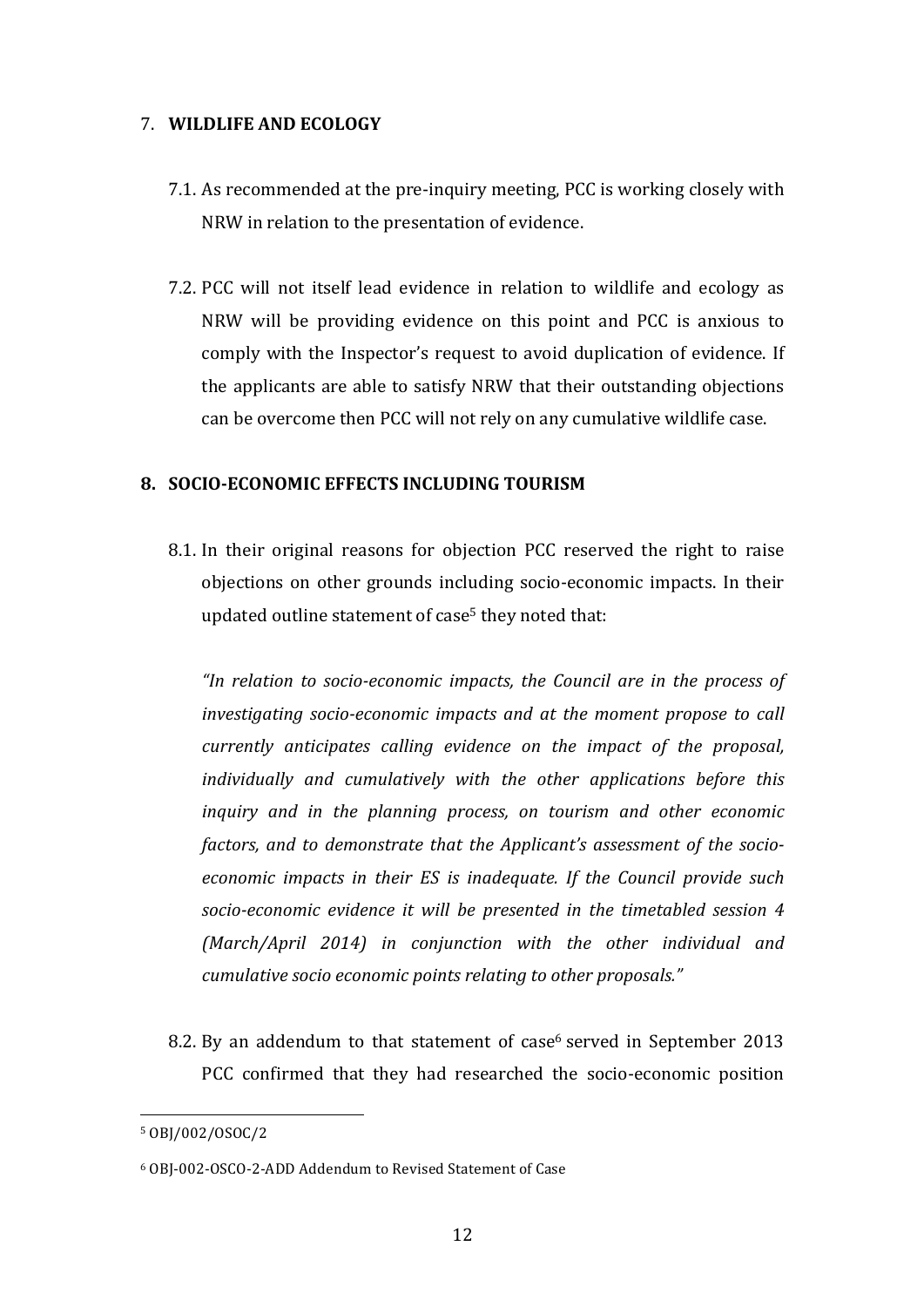# 7. **WILDLIFE AND ECOLOGY**

- 7.1. As recommended at the pre-inquiry meeting, PCC is working closely with NRW in relation to the presentation of evidence.
- 7.2. PCC will not itself lead evidence in relation to wildlife and ecology as NRW will be providing evidence on this point and PCC is anxious to comply with the Inspector's request to avoid duplication of evidence. If the applicants are able to satisfy NRW that their outstanding objections can be overcome then PCC will not rely on any cumulative wildlife case.

# **8. SOCIO-ECONOMIC EFFECTS INCLUDING TOURISM**

8.1. In their original reasons for objection PCC reserved the right to raise objections on other grounds including socio-economic impacts. In their updated outline statement of case<sup>5</sup> they noted that:

*"In relation to socio-economic impacts, the Council are in the process of investigating socio-economic impacts and at the moment propose to call currently anticipates calling evidence on the impact of the proposal, individually* and cumulatively with the other applications before this *inquiry* and in the planning process, on tourism and other economic factors, and to demonstrate that the Applicant's assessment of the socioeconomic impacts in their ES is inadequate. If the Council provide such socio-economic evidence it will be presented in the timetabled session 4 *(March/April 2014) in conjunction with the other individual and cumulative socio economic points relating to other proposals."* 

8.2. By an addendum to that statement of case<sup>6</sup> served in September 2013 PCC confirmed that they had researched the socio-economic position

 

<sup>5</sup> OBJ/002/OSOC/2 

<sup>6</sup> OBJ-002-OSCO-2-ADD Addendum to Revised Statement of Case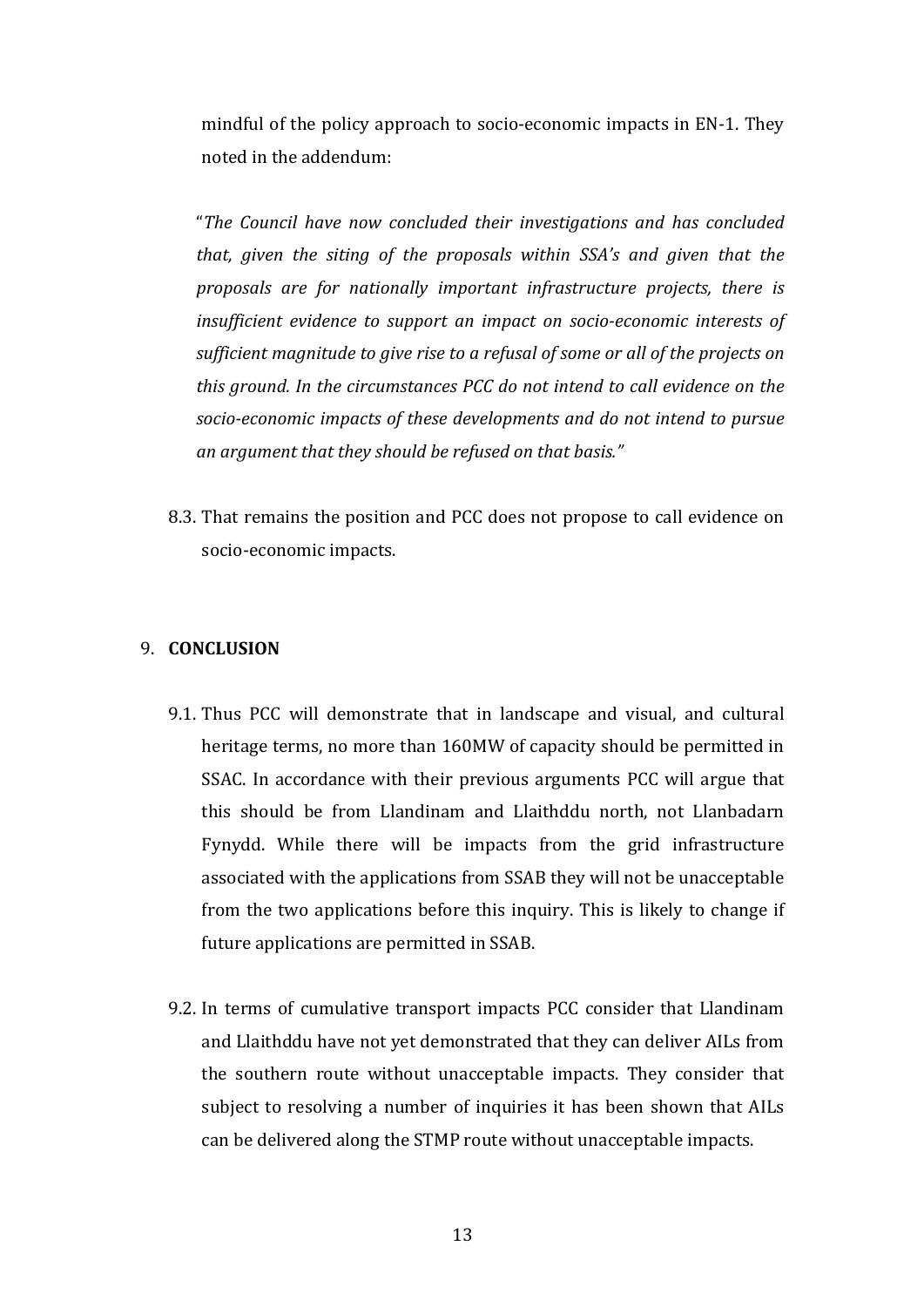mindful of the policy approach to socio-economic impacts in EN-1. They noted in the addendum:

"The Council have now concluded their investigations and has concluded *that, given the siting of the proposals within SSA's and given that the proposals are for nationally important infrastructure projects, there is insufficient evidence to support an impact on socio-economic interests of* sufficient magnitude to give rise to a refusal of some or all of the projects on *this ground. In the circumstances PCC do not intend to call evidence on the* socio-economic impacts of these developments and do not intend to pursue an argument that they should be refused on that basis."

8.3. That remains the position and PCC does not propose to call evidence on socio-economic impacts.

# 9. **CONCLUSION**

- 9.1. Thus PCC will demonstrate that in landscape and visual, and cultural heritage terms, no more than 160MW of capacity should be permitted in SSAC. In accordance with their previous arguments PCC will argue that this should be from Llandinam and Llaithddu north, not Llanbadarn Fynydd. While there will be impacts from the grid infrastructure associated with the applications from SSAB they will not be unacceptable from the two applications before this inquiry. This is likely to change if future applications are permitted in SSAB.
- 9.2. In terms of cumulative transport impacts PCC consider that Llandinam and Llaithddu have not yet demonstrated that they can deliver AILs from the southern route without unacceptable impacts. They consider that subject to resolving a number of inquiries it has been shown that AILs can be delivered along the STMP route without unacceptable impacts.